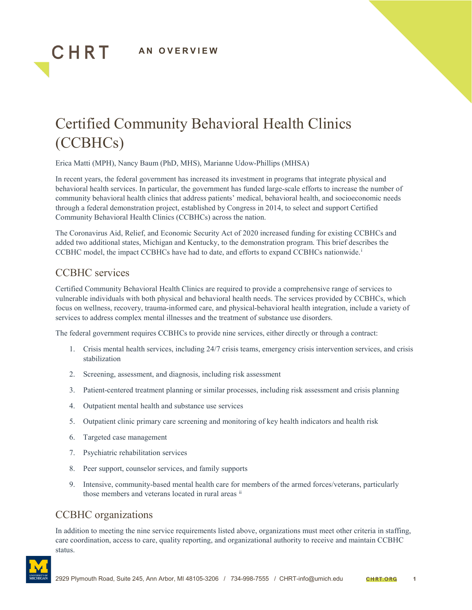

# Certified Community Behavioral Health Clinics (CCBHCs)

Erica Matti (MPH), Nancy Baum (PhD, MHS), Marianne Udow-Phillips (MHSA)

In recent years, the federal government has increased its investment in programs that integrate physical and behavioral health services. In particular, the government has funded large-scale efforts to increase the number of community behavioral health clinics that address patients' medical, behavioral health, and socioeconomic needs through a federal demonstration project, established by Congress in 2014, to select and support Certified Community Behavioral Health Clinics (CCBHCs) across the nation.

The Coronavirus Aid, Relief, and Economic Security Act of 2020 increased funding for existing CCBHCs and added two additional states, Michigan and Kentucky, to the demonstration program. This brief describes the CCBHC model, the impact CCBHCs have had to date, and efforts to expand CCBHCs nationwide.[i](#page-6-0)

# CCBHC services

CHRT

Certified Community Behavioral Health Clinics are required to provide a comprehensive range of services to vulnerable individuals with both physical and behavioral health needs. The services provided by CCBHCs, which focus on wellness, recovery, trauma-informed care, and physical-behavioral health integration, include a variety of services to address complex mental illnesses and the treatment of substance use disorders.

The federal government requires CCBHCs to provide nine services, either directly or through a contract:

- 1. Crisis mental health services, including 24/7 crisis teams, emergency crisis intervention services, and crisis stabilization
- 2. Screening, assessment, and diagnosis, including risk assessment
- 3. Patient-centered treatment planning or similar processes, including risk assessment and crisis planning
- 4. Outpatient mental health and substance use services
- 5. Outpatient clinic primary care screening and monitoring of key health indicators and health risk
- 6. Targeted case management
- 7. Psychiatric rehabilitation services
- 8. Peer support, counselor services, and family supports
- 9. Intensive, community-based mental health care for members of the armed forces/veterans, particularly those members and veterans located in rural areas  $\mathbf{u}$

# CCBHC organizations

In addition to meeting the nine service requirements listed above, organizations must meet other criteria in staffing, care coordination, access to care, quality reporting, and organizational authority to receive and maintain CCBHC status.

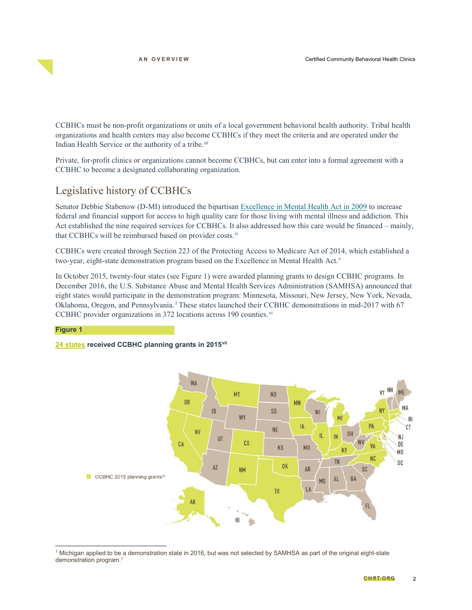CCBHCs must be non-profit organizations or units of a local government behavioral health authority. Tribal health organizations and health centers may also become CCBHCs if they meet the criteria and are operated under the Indian Health Service or the authority of a tribe.<sup>[iii](#page-6-2)</sup>

Private, for-profit clinics or organizations cannot become CCBHCs, but can enter into a formal agreement with a CCBHC to become a designated collaborating organization.

### Legislative history of CCBHCs

Senator Debbie Stabenow (D-MI) introduced the bipartisan [Excellence in Mental Health Act in 2009](https://www.congress.gov/bill/111th-congress/senate-bill/4038) to increase federal and financial support for access to high quality care for those living with mental illness and addiction. This Act established the nine required services for CCBHCs. It also addressed how this care would be financed – mainly, that CCBHCs will be reimbursed based on provider costs.<sup>[iv](#page-6-3)</sup>

CCBHCs were created through Section 223 of the Protecting Access to Medicare Act of 2014, which established a two-year, eight-state demonstration program based on the Excellence in Mental Health Act.<sup>[v](#page-6-4)</sup>

In October 2015, twenty-four states (see Figure 1) were awarded planning grants to design CCBHC programs. In December 2016, the U.S. Substance Abuse and Mental Health Services Administration (SAMHSA) announced that eight states would participate in the demonstration program: Minnesota, Missouri, New Jersey, New York, Nevada, Oklahoma, Oregon, and Pennsylvania.[1](#page-1-0) These states launched their CCBHC demonstrations in mid-2017 with 67 CCBHC pro[vi](#page-6-5)der organizations in 372 locations across 190 counties.<sup>vi</sup>

#### **Figure 1**

#### **24 states received CCBHC planning grants in 2015[vii](#page-6-6)**



<span id="page-1-0"></span> 1 Michigan applied to be a demonstration state in 2016, but was not selected by SAMHSA as part of the original eight-state demonstration program. 1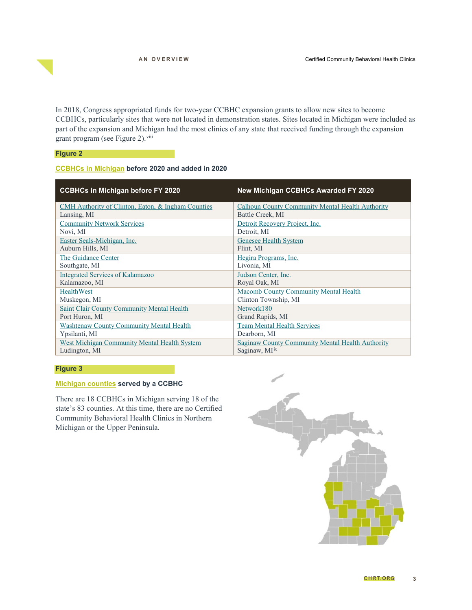In 2018, Congress appropriated funds for two-year CCBHC expansion grants to allow new sites to become CCBHCs, particularly sites that were not located in demonstration states. Sites located in Michigan were included as part of the expansion and Michigan had the most clinics of any state that received funding through the expansion grant program (see Figure 2).<sup>[viii](#page-6-7)</sup>

#### **Figure 2**

#### **CCBHCs in Michigan before 2020 and added in 2020**

| <b>CCBHCs in Michigan before FY 2020</b>           | <b>New Michigan CCBHCs Awarded FY 2020</b>       |
|----------------------------------------------------|--------------------------------------------------|
| CMH Authority of Clinton, Eaton, & Ingham Counties | Calhoun County Community Mental Health Authority |
| Lansing, MI                                        | Battle Creek, MI                                 |
| <b>Community Network Services</b>                  | Detroit Recovery Project, Inc.                   |
| Novi, MI                                           | Detroit, MI                                      |
| Easter Seals-Michigan, Inc.                        | Genesee Health System                            |
| Auburn Hills, MI                                   | Flint, MI                                        |
| The Guidance Center                                | Hegira Programs, Inc.                            |
| Southgate, MI                                      | Livonia, MI                                      |
| <b>Integrated Services of Kalamazoo</b>            | Judson Center, Inc.                              |
| Kalamazoo, MI                                      | Royal Oak, MI                                    |
| <b>HealthWest</b>                                  | Macomb County Community Mental Health            |
| Muskegon, MI                                       | Clinton Township, MI                             |
| <b>Saint Clair County Community Mental Health</b>  | Network180                                       |
| Port Huron, MI                                     | Grand Rapids, MI                                 |
| <b>Washtenaw County Community Mental Health</b>    | <b>Team Mental Health Services</b>               |
| Ypsilanti, MI                                      | Dearborn, MI                                     |
| West Michigan Community Mental Health System       | Saginaw County Community Mental Health Authority |
| Ludington, MI                                      | Saginaw, MI <sup>IX</sup>                        |

### **Figure 3**

### **Michigan counties served by a CCBHC**

There are 18 CCBHCs in Michigan serving 18 of the state's 83 counties. At this time, there are no Certified Community Behavioral Health Clinics in Northern Michigan or the Upper Peninsula.

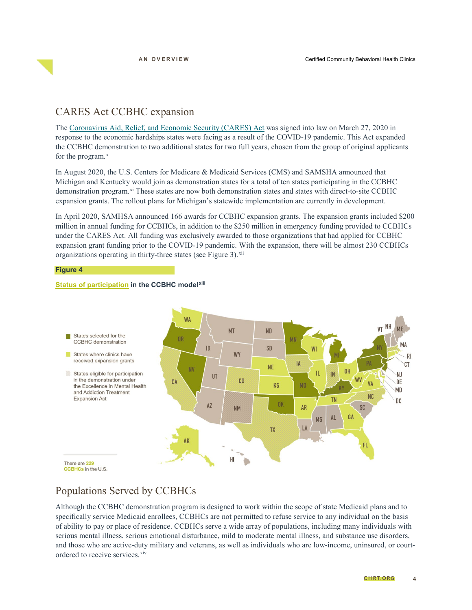### CARES Act CCBHC expansion

The [Coronavirus Aid, Relief, and Economic Security \(CARES\) Act](https://www.congress.gov/bill/116th-congress/house-bill/748) was signed into law on March 27, 2020 in response to the economic hardships states were facing as a result of the COVID-19 pandemic. This Act expanded the CCBHC demonstration to two additional states for two full years, chosen from the group of original applicants for the program. $x$ 

In August 2020, the U.S. Centers for Medicare & Medicaid Services (CMS) and SAMSHA announced that Michigan and Kentucky would join as demonstration states for a total of ten states participating in the CCBHC demonstration program.<sup>[xi](#page-6-10)</sup> These states are now both demonstration states and states with direct-to-site CCBHC expansion grants. The rollout plans for Michigan's statewide implementation are currently in development.

In April 2020, SAMHSA announced 166 awards for CCBHC expansion grants. The expansion grants included \$200 million in annual funding for CCBHCs, in addition to the \$250 million in emergency funding provided to CCBHCs under the CARES Act. All funding was exclusively awarded to those organizations that had applied for CCBHC expansion grant funding prior to the COVID-19 pandemic. With the expansion, there will be almost 230 CCBHCs organizations operating in thirty-three states (see Figure 3).<sup>[xii](#page-6-11)</sup>

#### **Figure 4**

### **Status of participation in the CCBHC model[xiii](#page-6-12)**



### Populations Served by CCBHCs

Although the CCBHC demonstration program is designed to work within the scope of state Medicaid plans and to specifically service Medicaid enrollees, CCBHCs are not permitted to refuse service to any individual on the basis of ability to pay or place of residence. CCBHCs serve a wide array of populations, including many individuals with serious mental illness, serious emotional disturbance, mild to moderate mental illness, and substance use disorders, and those who are active-duty military and veterans, as well as individuals who are low-income, uninsured, or courtordered to receive services.<sup>[xiv](#page-6-13)</sup>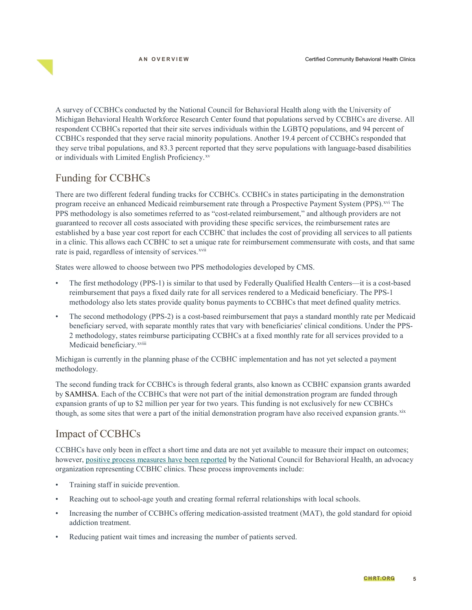A survey of CCBHCs conducted by the National Council for Behavioral Health along with the University of Michigan Behavioral Health Workforce Research Center found that populations served by CCBHCs are diverse. All respondent CCBHCs reported that their site serves individuals within the LGBTQ populations, and 94 percent of CCBHCs responded that they serve racial minority populations. Another 19.4 percent of CCBHCs responded that they serve tribal populations, and 83.3 percent reported that they serve populations with language-based disabilities or individuals with Limited English Proficiency.<sup>[xv](#page-6-14)</sup>

# Funding for CCBHCs

There are two different federal funding tracks for CCBHCs. CCBHCs in states participating in the demonstration program receive an enhanced Medicaid reimbursement rate through a Prospective Payment System (PPS).<sup>[xvi](#page-7-0)</sup> The PPS methodology is also sometimes referred to as "cost-related reimbursement," and although providers are not guaranteed to recover all costs associated with providing these specific services, the reimbursement rates are established by a base year cost report for each CCBHC that includes the cost of providing all services to all patients in a clinic. This allows each CCBHC to set a unique rate for reimbursement commensurate with costs, and that same rate is paid, regardless of intensity of services.<sup>[xvii](#page-7-1)</sup>

States were allowed to choose between two PPS methodologies developed by CMS.

- The first methodology (PPS-1) is similar to that used by Federally Qualified Health Centers—it is a cost-based reimbursement that pays a fixed daily rate for all services rendered to a Medicaid beneficiary. The PPS-1 methodology also lets states provide quality bonus payments to CCBHCs that meet defined quality metrics.
- The second methodology (PPS-2) is a cost-based reimbursement that pays a standard monthly rate per Medicaid beneficiary served, with separate monthly rates that vary with beneficiaries' clinical conditions. Under the PPS-2 methodology, states reimburse participating CCBHCs at a fixed monthly rate for all services provided to a Medicaidbeneficiary.<sup>xviii</sup>

Michigan is currently in the planning phase of the CCBHC implementation and has not yet selected a payment methodology.

The second funding track for CCBHCs is through federal grants, also known as CCBHC expansion grants awarded by SAMHSA. Each of the CCBHCs that were not part of the initial demonstration program are funded through expansion grants of up to \$2 million per year for two years. This funding is not exclusively for new CCBHCs though, as some sites that were a part of the initial demonstration program have also received expansion grants.<sup>[xix](#page-7-3)</sup>

# Impact of CCBHCs

CCBHCs have only been in effect a short time and data are not yet available to measure their impact on outcomes; however, [positive process measures have been reported](https://www.thenationalcouncil.org/wp-content/uploads/2020/03/2020-CCBHC-Impact-Report.pdf?daf=375ateTbd56) by the National Council for Behavioral Health, an advocacy organization representing CCBHC clinics. These process improvements include:

- Training staff in suicide prevention.
- Reaching out to school-age youth and creating formal referral relationships with local schools.
- Increasing the number of CCBHCs offering medication-assisted treatment (MAT), the gold standard for opioid addiction treatment.
- Reducing patient wait times and increasing the number of patients served.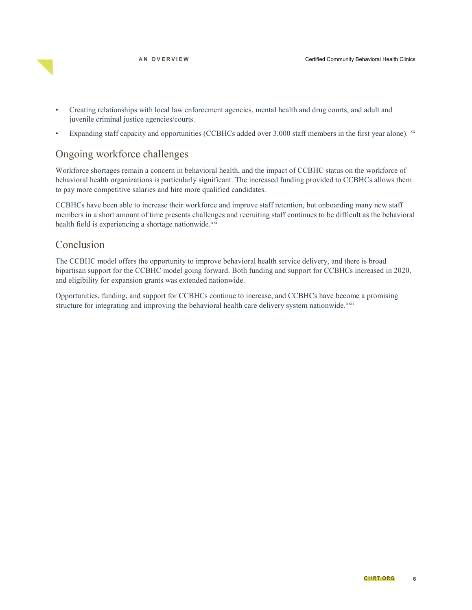

- Creating relationships with local law enforcement agencies, mental health and drug courts, and adult and juvenile criminal justice agencies/courts.
- Expanding staff capacity and opportunities (CCBHCs added over 3,000 staff members in the first year alone). [xx](#page-7-4)

### Ongoing workforce challenges

Workforce shortages remain a concern in behavioral health, and the impact of CCBHC status on the workforce of behavioral health organizations is particularly significant. The increased funding provided to CCBHCs allows them to pay more competitive salaries and hire more qualified candidates.

CCBHCs have been able to increase their workforce and improve staff retention, but onboarding many new staff members in a short amount of time presents challenges and recruiting staff continues to be difficult as the behavioral health field is experiencing a shortage nationwide.[xxi](#page-7-5)

### Conclusion

The CCBHC model offers the opportunity to improve behavioral health service delivery, and there is broad bipartisan support for the CCBHC model going forward. Both funding and support for CCBHCs increased in 2020, and eligibility for expansion grants was extended nationwide.

Opportunities, funding, and support for CCBHCs continue to increase, and CCBHCs have become a promising structure for integrating and improving the behavioral health care delivery system nationwide.<sup>[xxii](#page-7-6)</sup>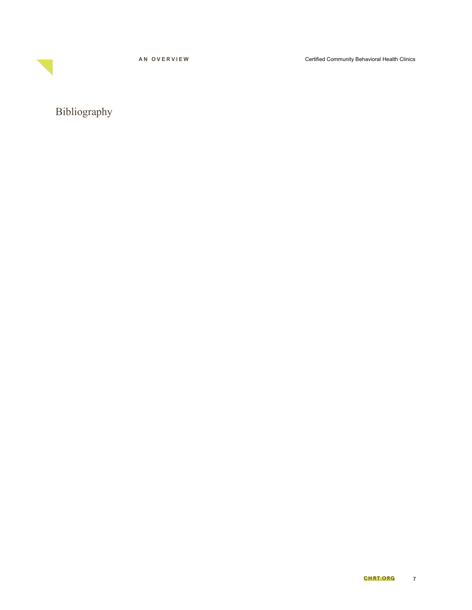**AN OVERVIEW**

Certified Community Behavioral Health Clinics

<span id="page-6-14"></span><span id="page-6-13"></span><span id="page-6-12"></span><span id="page-6-11"></span><span id="page-6-10"></span><span id="page-6-9"></span><span id="page-6-8"></span><span id="page-6-7"></span><span id="page-6-6"></span><span id="page-6-5"></span><span id="page-6-4"></span><span id="page-6-3"></span><span id="page-6-2"></span><span id="page-6-1"></span><span id="page-6-0"></span>Bibliography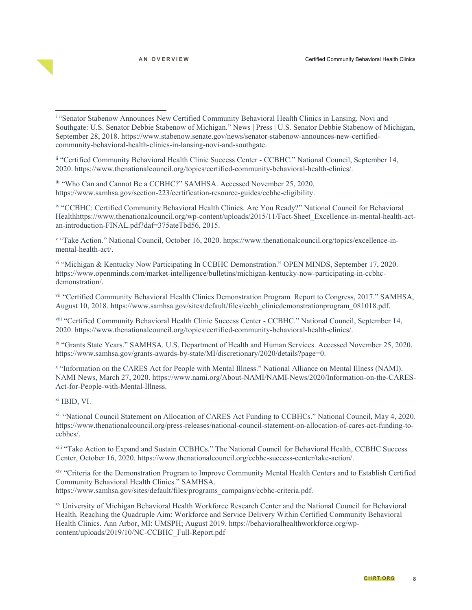<span id="page-7-2"></span><span id="page-7-1"></span>ii "Certified Community Behavioral Health Clinic Success Center - CCBHC." National Council, September 14, 2020. https://www.thenationalcouncil.org/topics/certified-community-behavioral-health-clinics/.

iii "Who Can and Cannot Be a CCBHC?" SAMHSA. Accessed November 25, 2020. https://www.samhsa.gov/section-223/certification-resource-guides/ccbhc-eligibility.

<span id="page-7-3"></span>iv "CCBHC: Certified Community Behavioral Health Clinics. Are You Ready?" National Council for Behavioral Healthhttps://www.thenationalcouncil.org/wp-content/uploads/2015/11/Fact-Sheet\_Excellence-in-mental-health-actan-introduction-FINAL.pdf?daf=375ateTbd56, 2015.

<span id="page-7-4"></span><sup>v</sup> "Take Action." National Council, October 16, 2020. https://www.thenationalcouncil.org/topics/excellence-inmental-health-act/.

vi "Michigan & Kentucky Now Participating In CCBHC Demonstration." OPEN MINDS, September 17, 2020. https://www.openminds.com/market-intelligence/bulletins/michigan-kentucky-now-participating-in-ccbhcdemonstration/.

<span id="page-7-6"></span><span id="page-7-5"></span>vii "Certified Community Behavioral Health Clinics Demonstration Program. Report to Congress, 2017." SAMHSA, August 10, 2018. https://www.samhsa.gov/sites/default/files/ccbh\_clinicdemonstrationprogram\_081018.pdf.

viii "Certified Community Behavioral Health Clinic Success Center - CCBHC." National Council, September 14, 2020. https://www.thenationalcouncil.org/topics/certified-community-behavioral-health-clinics/.

ix "Grants State Years." SAMHSA. U.S. Department of Health and Human Services. Accessed November 25, 2020. https://www.samhsa.gov/grants-awards-by-state/MI/discretionary/2020/details?page=0.

<sup>x</sup> "Information on the CARES Act for People with Mental Illness." National Alliance on Mental Illness (NAMI). NAMI News, March 27, 2020. https://www.nami.org/About-NAMI/NAMI-News/2020/Information-on-the-CARES-Act-for-People-with-Mental-Illness.

xi IBID, VI.

 $\overline{a}$ 

xii "National Council Statement on Allocation of CARES Act Funding to CCBHCs." National Council, May 4, 2020. https://www.thenationalcouncil.org/press-releases/national-council-statement-on-allocation-of-cares-act-funding-toccbhcs/.

xiii "Take Action to Expand and Sustain CCBHCs." The National Council for Behavioral Health, CCBHC Success Center, October 16, 2020. https://www.thenationalcouncil.org/ccbhc-success-center/take-action/.

xiv "Criteria for the Demonstration Program to Improve Community Mental Health Centers and to Establish Certified Community Behavioral Health Clinics." SAMHSA. https://www.samhsa.gov/sites/default/files/programs\_campaigns/ccbhc-criteria.pdf.

xv University of Michigan Behavioral Health Workforce Research Center and the National Council for Behavioral Health. Reaching the Quadruple Aim: Workforce and Service Delivery Within Certified Community Behavioral Health Clinics. Ann Arbor, MI: UMSPH; August 2019. https://behavioralhealthworkforce.org/wpcontent/uploads/2019/10/NC-CCBHC\_Full-Report.pdf

<span id="page-7-0"></span><sup>i</sup> "Senator Stabenow Announces New Certified Community Behavioral Health Clinics in Lansing, Novi and Southgate: U.S. Senator Debbie Stabenow of Michigan." News | Press | U.S. Senator Debbie Stabenow of Michigan, September 28, 2018. https://www.stabenow.senate.gov/news/senator-stabenow-announces-new-certifiedcommunity-behavioral-health-clinics-in-lansing-novi-and-southgate.